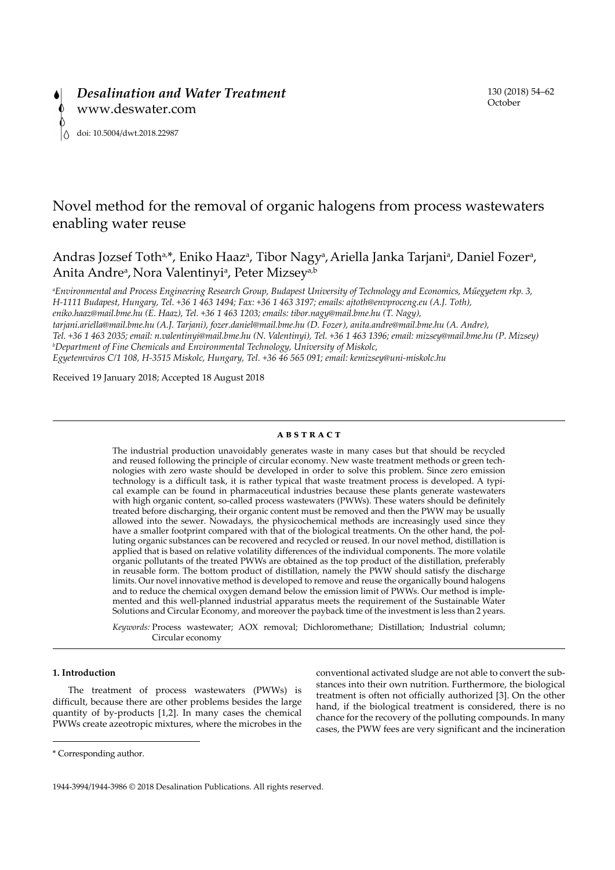# Novel method for the removal of organic halogens from process wastewaters enabling water reuse

Andras Jozsef Toth<sup>a,\*</sup>, Eniko Haaz<sup>a</sup>, Tibor Nagy<sup>a</sup>, Ariella Janka Tarjani<sup>a</sup>, Daniel Fozer<sup>a</sup>, Anita Andre<sup>a</sup>, Nora Valentinyi<sup>a</sup>, Peter Mizsey<sup>a,b</sup>

*a Environmental and Process Engineering Research Group, Budapest University of Technology and Economics, Műegyetem rkp. 3, H-1111 Budapest, Hungary, Tel. +36 1 463 1494; Fax: +36 1 463 3197; emails: [ajtoth@envproceng.eu](mailto:ajtoth@envproceng.eu) (A.J. Toth), [eniko.haaz@mail.bme.hu](mailto:eniko.haaz@mail.bme.hu) (E. Haaz), Tel. +36 1 463 1203; emails: tibor.nagy@mail.bme.hu (T. Nagy), [tarjani.ariella@mail.bme.hu](mailto:tarjani.ariella@mail.bme.hu) (A.J. Tarjani), [fozer.daniel@mail.bme.hu](mailto:fozer.daniel@mail.bme.hu) (D. Fozer), [anita.andre@mail.bme.hu](mailto:anita.andre@mail.bme.hu) (A. Andre), Tel. +36 1 463 2035; email: [n.valentinyi@mail.bme.hu](mailto:n.valentinyi@mail.bme.hu) (N. Valentinyi), Tel. +36 1 463 1396; email: [mizsey@mail.bme.hu](mailto:mizsey@mail.bme.hu) (P. Mizsey) b Department of Fine Chemicals and Environmental Technology, University of Miskolc, Egyetemváros C/1 108, H-3515 Miskolc, Hungary, Tel. +36 46 565 091; email: kemizsey@uni-miskolc.hu*

Received 19 January 2018; Accepted 18 August 2018

# **abstract**

The industrial production unavoidably generates waste in many cases but that should be recycled and reused following the principle of circular economy. New waste treatment methods or green technologies with zero waste should be developed in order to solve this problem. Since zero emission technology is a difficult task, it is rather typical that waste treatment process is developed. A typical example can be found in pharmaceutical industries because these plants generate wastewaters with high organic content, so-called process wastewaters (PWWs). These waters should be definitely treated before discharging, their organic content must be removed and then the PWW may be usually allowed into the sewer. Nowadays, the physicochemical methods are increasingly used since they have a smaller footprint compared with that of the biological treatments. On the other hand, the polluting organic substances can be recovered and recycled or reused. In our novel method, distillation is applied that is based on relative volatility differences of the individual components. The more volatile organic pollutants of the treated PWWs are obtained as the top product of the distillation, preferably in reusable form. The bottom product of distillation, namely the PWW should satisfy the discharge limits. Our novel innovative method is developed to remove and reuse the organically bound halogens and to reduce the chemical oxygen demand below the emission limit of PWWs. Our method is implemented and this well-planned industrial apparatus meets the requirement of the Sustainable Water Solutions and Circular Economy, and moreover the payback time of the investment is less than 2 years.

*Keywords:* Process wastewater; AOX removal; Dichloromethane; Distillation; Industrial column; Circular economy

# **1. Introduction**

The treatment of process wastewaters (PWWs) is difficult, because there are other problems besides the large quantity of by-products [1,2]. In many cases the chemical PWWs create azeotropic mixtures, where the microbes in the conventional activated sludge are not able to convert the substances into their own nutrition. Furthermore, the biological treatment is often not officially authorized [3]. On the other hand, if the biological treatment is considered, there is no chance for the recovery of the polluting compounds. In many cases, the PWW fees are very significant and the incineration

<sup>\*</sup> Corresponding author.

<sup>1944-3994/1944-3986 © 2018</sup> Desalination Publications. All rights reserved.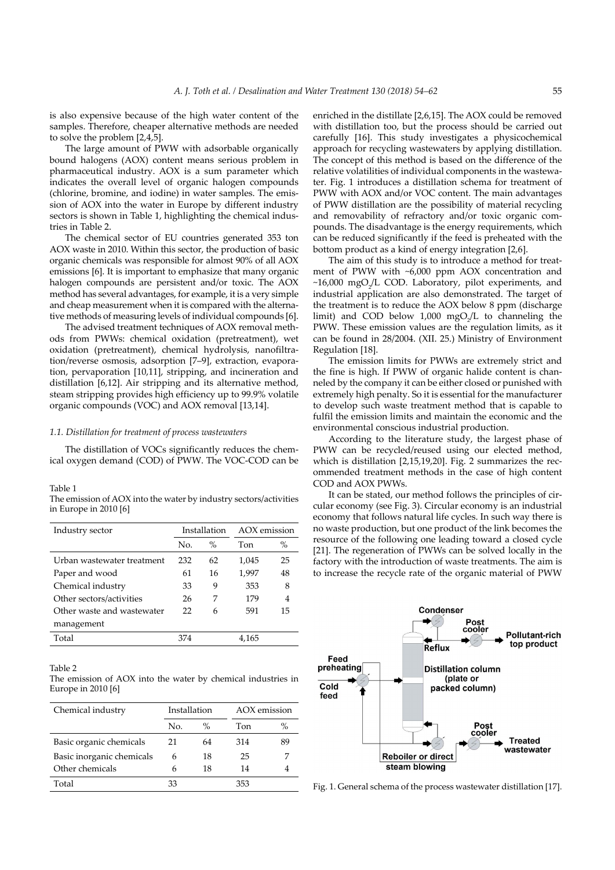is also expensive because of the high water content of the samples. Therefore, cheaper alternative methods are needed to solve the problem [2,4,5].

The large amount of PWW with adsorbable organically bound halogens (AOX) content means serious problem in pharmaceutical industry. AOX is a sum parameter which indicates the overall level of organic halogen compounds (chlorine, bromine, and iodine) in water samples. The emission of AOX into the water in Europe by different industry sectors is shown in Table 1, highlighting the chemical industries in Table 2.

The chemical sector of EU countries generated 353 ton AOX waste in 2010. Within this sector, the production of basic organic chemicals was responsible for almost 90% of all AOX emissions [6]. It is important to emphasize that many organic halogen compounds are persistent and/or toxic. The AOX method has several advantages, for example, it is a very simple and cheap measurement when it is compared with the alternative methods of measuring levels of individual compounds [6].

The advised treatment techniques of AOX removal methods from PWWs: chemical oxidation (pretreatment), wet oxidation (pretreatment), chemical hydrolysis, nanofiltration/reverse osmosis, adsorption [7–9], extraction, evaporation, pervaporation [10,11], stripping, and incineration and distillation [6,12]. Air stripping and its alternative method, steam stripping provides high efficiency up to 99.9% volatile organic compounds (VOC) and AOX removal [13,14].

#### *1.1. Distillation for treatment of process wastewaters*

The distillation of VOCs significantly reduces the chemical oxygen demand (COD) of PWW. The VOC-COD can be

#### Table 1

| The emission of AOX into the water by industry sectors/activities |  |
|-------------------------------------------------------------------|--|
| in Europe in 2010 [6]                                             |  |

| Industry sector            |     | Installation |       | AOX emission |
|----------------------------|-----|--------------|-------|--------------|
|                            | No. | $\%$         | Ton   | $\%$         |
| Urban wastewater treatment | 232 | 62           | 1,045 | 25           |
| Paper and wood             | 61  | 16           | 1,997 | 48           |
| Chemical industry          | 33  | 9            | 353   | 8            |
| Other sectors/activities   | 26  | 7            | 179   | 4            |
| Other waste and wastewater | 22  | 6            | 591   | 15           |
| management                 |     |              |       |              |
| Total                      | 374 |              | 4,165 |              |
|                            |     |              |       |              |

#### Table 2

The emission of AOX into the water by chemical industries in Europe in 2010 [6]

| Chemical industry         | Installation |      | AOX emission |      |
|---------------------------|--------------|------|--------------|------|
|                           | No.          | $\%$ | Ton          | $\%$ |
| Basic organic chemicals   | 21           | 64   | 314          | 89   |
| Basic inorganic chemicals | 6            | 18   | 25           |      |
| Other chemicals           | 6            | 18   | 14           |      |
| Total                     | 33           |      | 353          |      |

enriched in the distillate [2,6,15]. The AOX could be removed with distillation too, but the process should be carried out carefully [16]. This study investigates a physicochemical approach for recycling wastewaters by applying distillation. The concept of this method is based on the difference of the relative volatilities of individual components in the wastewater. Fig. 1 introduces a distillation schema for treatment of PWW with AOX and/or VOC content. The main advantages of PWW distillation are the possibility of material recycling and removability of refractory and/or toxic organic compounds. The disadvantage is the energy requirements, which can be reduced significantly if the feed is preheated with the bottom product as a kind of energy integration [2,6].

The aim of this study is to introduce a method for treatment of PWW with ~6,000 ppm AOX concentration and  $~16,000$  mgO<sub>2</sub>/L COD. Laboratory, pilot experiments, and industrial application are also demonstrated. The target of the treatment is to reduce the AOX below 8 ppm (discharge limit) and COD below  $1,000 \text{ mgO}_2/\text{L}$  to channeling the PWW. These emission values are the regulation limits, as it can be found in 28/2004. (XII. 25.) Ministry of Environment Regulation [18].

The emission limits for PWWs are extremely strict and the fine is high. If PWW of organic halide content is channeled by the company it can be either closed or punished with extremely high penalty. So it is essential for the manufacturer to develop such waste treatment method that is capable to fulfil the emission limits and maintain the economic and the environmental conscious industrial production.

According to the literature study, the largest phase of PWW can be recycled/reused using our elected method, which is distillation [2,15,19,20]. Fig. 2 summarizes the recommended treatment methods in the case of high content COD and AOX PWWs.

It can be stated, our method follows the principles of circular economy (see Fig. 3). Circular economy is an industrial economy that follows natural life cycles. In such way there is no waste production, but one product of the link becomes the resource of the following one leading toward a closed cycle [21]. The regeneration of PWWs can be solved locally in the factory with the introduction of waste treatments. The aim is to increase the recycle rate of the organic material of PWW



Fig. 1. General schema of the process wastewater distillation [17].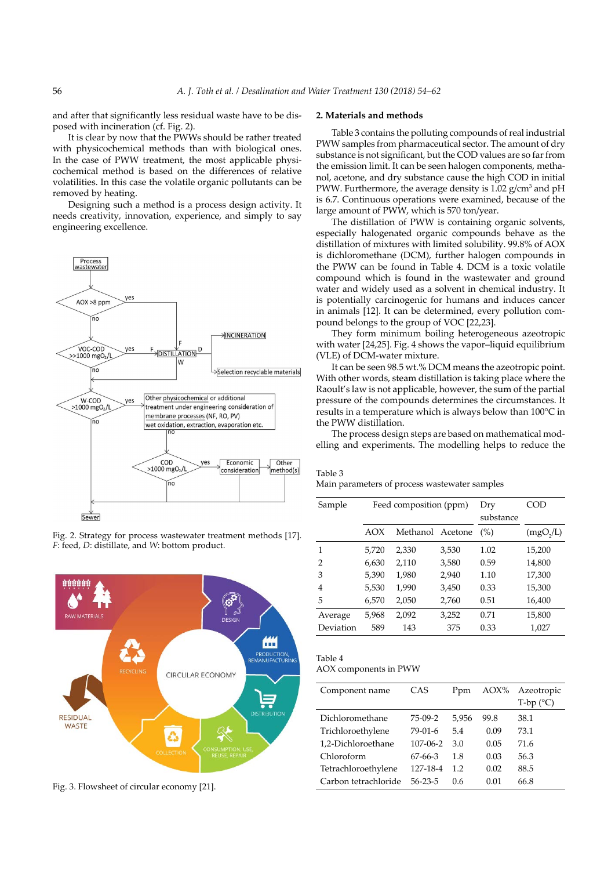and after that significantly less residual waste have to be disposed with incineration (cf. Fig. 2).

It is clear by now that the PWWs should be rather treated with physicochemical methods than with biological ones. In the case of PWW treatment, the most applicable physicochemical method is based on the differences of relative volatilities. In this case the volatile organic pollutants can be removed by heating.

Designing such a method is a process design activity. It needs creativity, innovation, experience, and simply to say engineering excellence.



Fig. 2. Strategy for process wastewater treatment methods [17]. *F*: feed, *D*: distillate, and *W*: bottom product.



Fig. 3. Flowsheet of circular economy [21].

#### **2. Materials and methods**

Table 3 contains the polluting compounds of real industrial PWW samples from pharmaceutical sector. The amount of dry substance is not significant, but the COD values are so far from the emission limit. It can be seen halogen components, methanol, acetone, and dry substance cause the high COD in initial PWW. Furthermore, the average density is  $1.02$  g/cm<sup>3</sup> and pH is 6.7. Continuous operations were examined, because of the large amount of PWW, which is 570 ton/year.

The distillation of PWW is containing organic solvents, especially halogenated organic compounds behave as the distillation of mixtures with limited solubility. 99.8% of AOX is dichloromethane (DCM), further halogen compounds in the PWW can be found in Table 4. DCM is a toxic volatile compound which is found in the wastewater and ground water and widely used as a solvent in chemical industry. It is potentially carcinogenic for humans and induces cancer in animals [12]. It can be determined, every pollution compound belongs to the group of VOC [22,23].

They form minimum boiling heterogeneous azeotropic with water [24,25]. Fig. 4 shows the vapor–liquid equilibrium (VLE) of DCM-water mixture.

It can be seen 98.5 wt.% DCM means the azeotropic point. With other words, steam distillation is taking place where the Raoult's law is not applicable, however, the sum of the partial pressure of the compounds determines the circumstances. It results in a temperature which is always below than 100°C in the PWW distillation.

The process design steps are based on mathematical modelling and experiments. The modelling helps to reduce the

Table 3 Main parameters of process wastewater samples

| Sample    |       | Feed composition (ppm) | Dry<br>substance | COD  |          |
|-----------|-------|------------------------|------------------|------|----------|
|           | AOX   | Methanol               | Acetone          | (%)  | (mgO,/L) |
| 1         | 5.720 | 2,330                  | 3,530            | 1.02 | 15,200   |
| 2         | 6,630 | 2,110                  | 3,580            | 0.59 | 14,800   |
| 3         | 5,390 | 1,980                  | 2,940            | 1.10 | 17,300   |
| 4         | 5,530 | 1,990                  | 3,450            | 0.33 | 15,300   |
| 5         | 6,570 | 2,050                  | 2,760            | 0.51 | 16,400   |
| Average   | 5,968 | 2,092                  | 3,252            | 0.71 | 15,800   |
| Deviation | 589   | 143                    | 375              | 0.33 | 1,027    |

Table 4 AOX components in PWW

| Component name       | CAS            | Ppm   | AOX% | Azeotropic<br>$T-bp$ ( $^{\circ}C$ ) |
|----------------------|----------------|-------|------|--------------------------------------|
| Dichloromethane      | 75-09-2        | 5,956 | 99.8 | 38.1                                 |
| Trichloroethylene    | 79-01-6        | 5.4   | 0.09 | 73.1                                 |
| 1,2-Dichloroethane   | $107 - 06 - 2$ | 3.0   | 0.05 | 71.6                                 |
| Chloroform           | 67-66-3        | 18    | 0.03 | 56.3                                 |
| Tetrachloroethylene  | 127-18-4       | 1.2   | 0.02 | 88.5                                 |
| Carbon tetrachloride | 56-23-5        | 0.6   | 0.01 | 66.8                                 |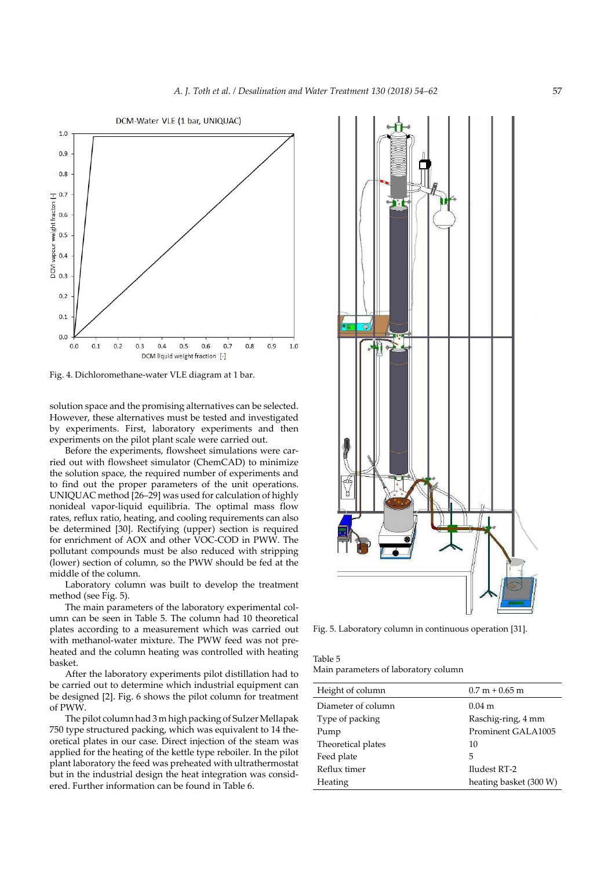

Fig. 4. Dichloromethane-water VLE diagram at 1 bar.

solution space and the promising alternatives can be selected. However, these alternatives must be tested and investigated by experiments. First, laboratory experiments and then experiments on the pilot plant scale were carried out.

Before the experiments, flowsheet simulations were carried out with flowsheet simulator (ChemCAD) to minimize the solution space, the required number of experiments and to find out the proper parameters of the unit operations. UNIQUAC method [26–29] was used for calculation of highly nonideal vapor-liquid equilibria. The optimal mass flow rates, reflux ratio, heating, and cooling requirements can also be determined [30]. Rectifying (upper) section is required for enrichment of AOX and other VOC-COD in PWW. The pollutant compounds must be also reduced with stripping (lower) section of column, so the PWW should be fed at the middle of the column.

Laboratory column was built to develop the treatment method (see Fig. 5).

The main parameters of the laboratory experimental column can be seen in Table 5. The column had 10 theoretical plates according to a measurement which was carried out with methanol-water mixture. The PWW feed was not preheated and the column heating was controlled with heating basket.

After the laboratory experiments pilot distillation had to be carried out to determine which industrial equipment can be designed [2]. Fig. 6 shows the pilot column for treatment of PWW.

The pilot column had 3 m high packing of Sulzer Mellapak 750 type structured packing, which was equivalent to 14 theoretical plates in our case. Direct injection of the steam was applied for the heating of the kettle type reboiler. In the pilot plant laboratory the feed was preheated with ultrathermostat but in the industrial design the heat integration was considered. Further information can be found in Table 6.



Fig. 5. Laboratory column in continuous operation [31].

| Table 5                              |  |
|--------------------------------------|--|
| Main parameters of laboratory column |  |

| Height of column   | $0.7 m + 0.65 m$       |
|--------------------|------------------------|
| Diameter of column | $0.04 \; \mathrm{m}$   |
| Type of packing    | Raschig-ring, 4 mm     |
| Pump               | Prominent GALA1005     |
| Theoretical plates | 10                     |
| Feed plate         | 5                      |
| Reflux timer       | Iludest RT-2           |
| Heating            | heating basket (300 W) |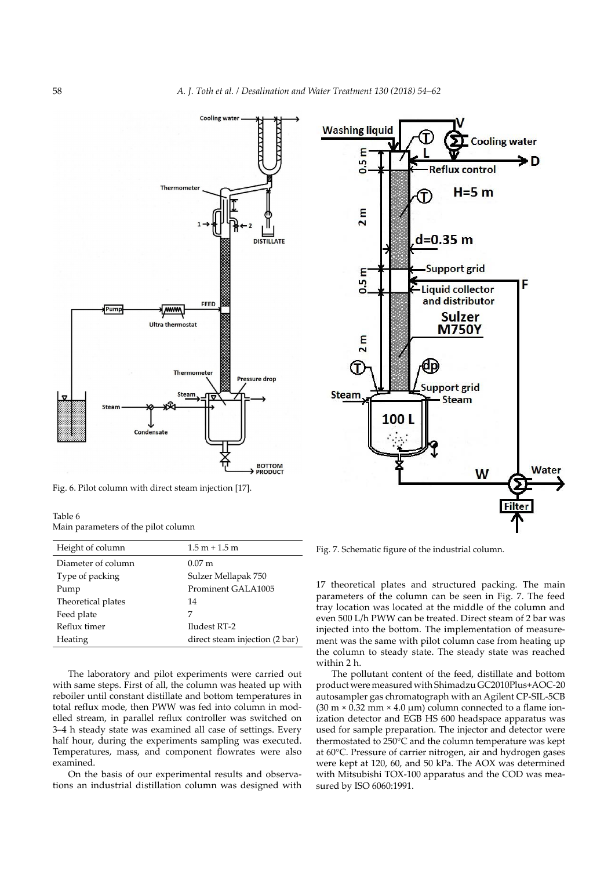

Fig. 6. Pilot column with direct steam injection [17].

| Table 6 |                                     |  |  |
|---------|-------------------------------------|--|--|
|         | Main parameters of the pilot column |  |  |

| Height of column   | $1.5 m + 1.5 m$                |
|--------------------|--------------------------------|
| Diameter of column | $0.07 \text{ m}$               |
| Type of packing    | Sulzer Mellapak 750            |
| Pump               | Prominent GALA1005             |
| Theoretical plates | 14                             |
| Feed plate         | 7                              |
| Reflux timer       | Iludest RT-2                   |
| Heating            | direct steam injection (2 bar) |

The laboratory and pilot experiments were carried out with same steps. First of all, the column was heated up with reboiler until constant distillate and bottom temperatures in total reflux mode, then PWW was fed into column in modelled stream, in parallel reflux controller was switched on 3–4 h steady state was examined all case of settings. Every half hour, during the experiments sampling was executed. Temperatures, mass, and component flowrates were also examined.

On the basis of our experimental results and observations an industrial distillation column was designed with



Fig. 7. Schematic figure of the industrial column.

17 theoretical plates and structured packing. The main parameters of the column can be seen in Fig. 7. The feed tray location was located at the middle of the column and even 500 L/h PWW can be treated. Direct steam of 2 bar was injected into the bottom. The implementation of measurement was the same with pilot column case from heating up the column to steady state. The steady state was reached within 2 h.

The pollutant content of the feed, distillate and bottom product were measured with Shimadzu GC2010Plus+AOC-20 autosampler gas chromatograph with an Agilent CP-SIL-5CB  $(30 \text{ m} \times 0.32 \text{ mm} \times 4.0 \text{ }\mu\text{m})$  column connected to a flame ionization detector and EGB HS 600 headspace apparatus was used for sample preparation. The injector and detector were thermostated to 250°C and the column temperature was kept at 60°C. Pressure of carrier nitrogen, air and hydrogen gases were kept at 120, 60, and 50 kPa. The AOX was determined with Mitsubishi TOX-100 apparatus and the COD was measured by ISO 6060:1991.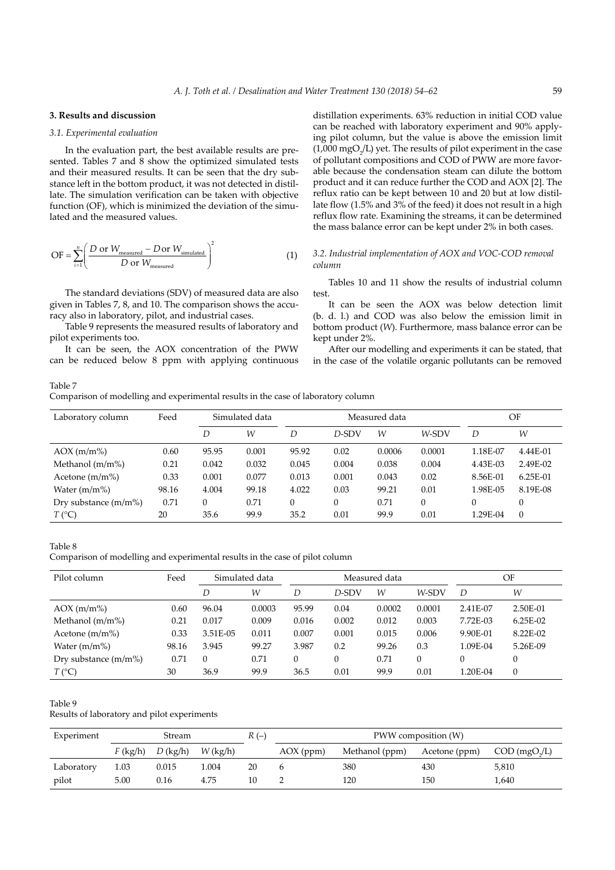## **3. Results and discussion**

# *3.1. Experimental evaluation*

In the evaluation part, the best available results are presented. Tables 7 and 8 show the optimized simulated tests and their measured results. It can be seen that the dry substance left in the bottom product, it was not detected in distillate. The simulation verification can be taken with objective function (OF), which is minimized the deviation of the simulated and the measured values.

$$
\text{OF} = \sum_{i=1}^{n} \left( \frac{D \text{ or } W_{\text{measured}} - D \text{ or } W_{\text{simulated}}}{D \text{ or } W_{\text{measured}}} \right)^2 \tag{1}
$$

The standard deviations (SDV) of measured data are also given in Tables 7, 8, and 10. The comparison shows the accuracy also in laboratory, pilot, and industrial cases.

Table 9 represents the measured results of laboratory and pilot experiments too.

It can be seen, the AOX concentration of the PWW can be reduced below 8 ppm with applying continuous

distillation experiments. 63% reduction in initial COD value can be reached with laboratory experiment and 90% applying pilot column, but the value is above the emission limit  $(1,000 \text{ mgO}_2/L)$  yet. The results of pilot experiment in the case of pollutant compositions and COD of PWW are more favorable because the condensation steam can dilute the bottom product and it can reduce further the COD and AOX [2]. The reflux ratio can be kept between 10 and 20 but at low distillate flow (1.5% and 3% of the feed) it does not result in a high reflux flow rate. Examining the streams, it can be determined the mass balance error can be kept under 2% in both cases.

#### *3.2. Industrial implementation of AOX and VOC-COD removal column*

Tables 10 and 11 show the results of industrial column test.

It can be seen the AOX was below detection limit (b. d. l.) and COD was also below the emission limit in bottom product (*W*). Furthermore, mass balance error can be kept under 2%.

After our modelling and experiments it can be stated, that in the case of the volatile organic pollutants can be removed

Table 7 Comparison of modelling and experimental results in the case of laboratory column

| Laboratory column      | Feed  | Simulated data |       | Measured data |          |        |          |          | OF         |  |
|------------------------|-------|----------------|-------|---------------|----------|--------|----------|----------|------------|--|
|                        |       | D              | W     | D             | D-SDV    | W      | W-SDV    | D        | W          |  |
| $AOX$ (m/m%)           | 0.60  | 95.95          | 0.001 | 95.92         | 0.02     | 0.0006 | 0.0001   | 1.18E-07 | 4.44E-01   |  |
| Methanol $(m/m%)$      | 0.21  | 0.042          | 0.032 | 0.045         | 0.004    | 0.038  | 0.004    | 4.43E-03 | 2.49E-02   |  |
| Acetone $(m/m%)$       | 0.33  | 0.001          | 0.077 | 0.013         | 0.001    | 0.043  | 0.02     | 8.56E-01 | $6.25E-01$ |  |
| Water $(m/m%)$         | 98.16 | 4.004          | 99.18 | 4.022         | 0.03     | 99.21  | 0.01     | 1.98E-05 | 8.19E-08   |  |
| Dry substance $(m/m%)$ | 0.71  | $\mathbf{0}$   | 0.71  | 0             | $\Omega$ | 0.71   | $\theta$ | 0        |            |  |
| $T$ (°C)               | 20    | 35.6           | 99.9  | 35.2          | 0.01     | 99.9   | 0.01     | 1.29E-04 | $\Omega$   |  |

# Table 8

Comparison of modelling and experimental results in the case of pilot column

| Pilot column           | Feed  | Simulated data |        | Measured data |          |        |          | OF       |            |
|------------------------|-------|----------------|--------|---------------|----------|--------|----------|----------|------------|
|                        |       | D              | W      | D             | D-SDV    | W      | W-SDV    | D        | W          |
| $AOX$ (m/m%)           | 0.60  | 96.04          | 0.0003 | 95.99         | 0.04     | 0.0002 | 0.0001   | 2.41E-07 | 2.50E-01   |
| Methanol $(m/m%)$      | 0.21  | 0.017          | 0.009  | 0.016         | 0.002    | 0.012  | 0.003    | 7.72E-03 | $6.25E-02$ |
| Acetone $(m/m%)$       | 0.33  | 3.51E-05       | 0.011  | 0.007         | 0.001    | 0.015  | 0.006    | 9.90E-01 | 8.22E-02   |
| Water $(m/m%)$         | 98.16 | 3.945          | 99.27  | 3.987         | 0.2      | 99.26  | 0.3      | 1.09E-04 | 5.26E-09   |
| Dry substance $(m/m%)$ | 0.71  | $\Omega$       | 0.71   | $\Omega$      | $\Omega$ | 0.71   | $\Omega$ | 0        |            |
| $T$ (°C)               | 30    | 36.9           | 99.9   | 36.5          | 0.01     | 99.9   | 0.01     | 1.20E-04 | $\theta$   |

#### Table 9

Results of laboratory and pilot experiments

| Experiment | Stream     |            |            | $R(-)$ | PWW composition (W) |                |               |                             |
|------------|------------|------------|------------|--------|---------------------|----------------|---------------|-----------------------------|
|            | $F$ (kg/h) | $D$ (kg/h) | $W$ (kg/h) |        | AOX (ppm)           | Methanol (ppm) | Acetone (ppm) | $COD$ (mgO <sub>2</sub> /L) |
| Laboratory | 1.03       | 0.015      | 1.004      | 20     |                     | 380            | 430           | 5,810                       |
| pilot      | 5.00       | 0.16       | 4.75       |        |                     | 120            | 150           | 1,640                       |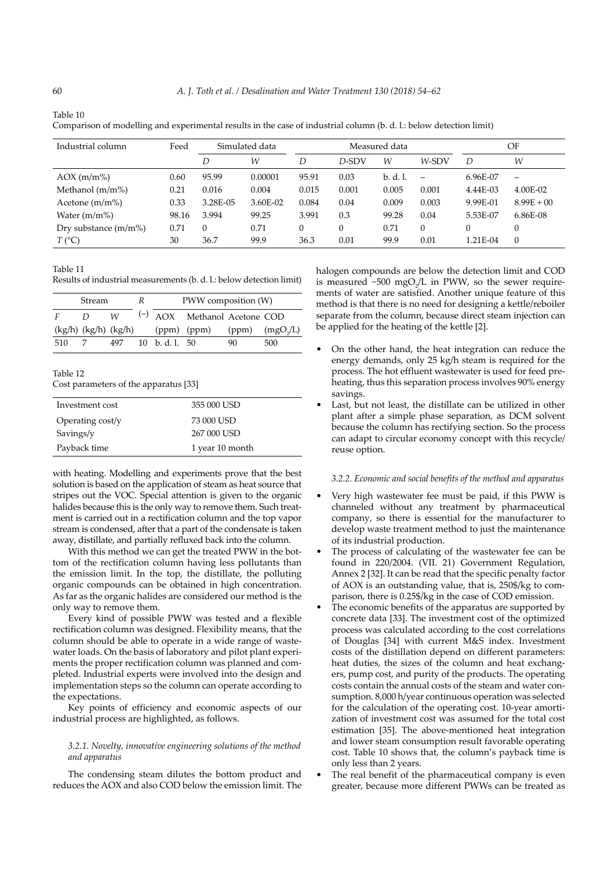| Industrial column       | Feed  | Simulated data |          | Measured data |       |          | OF                       |          |                   |
|-------------------------|-------|----------------|----------|---------------|-------|----------|--------------------------|----------|-------------------|
|                         |       | D              | W        | D             | D-SDV | W        | W-SDV                    | D        | W                 |
| $AOX$ (m/m%)            | 0.60  | 95.99          | 0.00001  | 95.91         | 0.03  | b. d. l. | $\overline{\phantom{0}}$ | 6.96E-07 | $\qquad \qquad -$ |
| Methanol $(m/m)$        | 0.21  | 0.016          | 0.004    | 0.015         | 0.001 | 0.005    | 0.001                    | 4.44E-03 | 4.00E-02          |
| Acetone $(m/m%)$        | 0.33  | 3.28E-05       | 3.60E-02 | 0.084         | 0.04  | 0.009    | 0.003                    | 9.99E-01 | $8.99E + 00$      |
| Water $(m/m%)$          | 98.16 | 3.994          | 99.25    | 3.991         | 0.3   | 99.28    | 0.04                     | 5.53E-07 | 6.86E-08          |
| Dry substance $(m/m\%)$ | 0.71  | $\Omega$       | 0.71     | $\theta$      | 0     | 0.71     | 0                        |          | $\theta$          |
| $T({}^{\circ}C)$        | 30    | 36.7           | 99.9     | 36.3          | 0.01  | 99.9     | 0.01                     | 1.21E-04 | $\Omega$          |

Table 10

Comparison of modelling and experimental results in the case of industrial column (b. d. l.: below detection limit)

Table 11

Results of industrial measurements (b. d. l.: below detection limit)

| <b>Stream</b> |                            |     | R | PWW composition (W)   |                                   |    |                    |  |
|---------------|----------------------------|-----|---|-----------------------|-----------------------------------|----|--------------------|--|
| F             | D                          | W   |   |                       | $(\neg)$ AOX Methanol Acetone COD |    |                    |  |
|               | $(kg/h)$ $(kg/h)$ $(kg/h)$ |     |   |                       | $(ppm)$ $(ppm)$                   |    | $(ppm)$ $(mgO2/L)$ |  |
| 510           |                            | 497 |   | $10 \text{ h}$ d 1 50 |                                   | 90 | 500                |  |

| able |  |
|------|--|
|------|--|

Cost parameters of the apparatus [33]

| Investment cost  | 355 000 USD     |
|------------------|-----------------|
| Operating cost/y | 73 000 USD      |
| Savings/y        | 267 000 USD     |
| Payback time     | 1 year 10 month |

with heating. Modelling and experiments prove that the best solution is based on the application of steam as heat source that stripes out the VOC. Special attention is given to the organic halides because this is the only way to remove them. Such treatment is carried out in a rectification column and the top vapor stream is condensed, after that a part of the condensate is taken away, distillate, and partially refluxed back into the column.

With this method we can get the treated PWW in the bottom of the rectification column having less pollutants than the emission limit. In the top, the distillate, the polluting organic compounds can be obtained in high concentration. As far as the organic halides are considered our method is the only way to remove them.

Every kind of possible PWW was tested and a flexible rectification column was designed. Flexibility means, that the column should be able to operate in a wide range of wastewater loads. On the basis of laboratory and pilot plant experiments the proper rectification column was planned and completed. Industrial experts were involved into the design and implementation steps so the column can operate according to the expectations.

Key points of efficiency and economic aspects of our industrial process are highlighted, as follows.

## *3.2.1. Novelty, innovative engineering solutions of the method and apparatus*

The condensing steam dilutes the bottom product and reduces the AOX and also COD below the emission limit. The

halogen compounds are below the detection limit and COD is measured  $\sim 500 \text{ mgO}_2/\text{L}$  in PWW, so the sewer requirements of water are satisfied. Another unique feature of this method is that there is no need for designing a kettle/reboiler separate from the column, because direct steam injection can be applied for the heating of the kettle [2].

- On the other hand, the heat integration can reduce the energy demands, only 25 kg/h steam is required for the process. The hot effluent wastewater is used for feed preheating, thus this separation process involves 90% energy savings.
- Last, but not least, the distillate can be utilized in other plant after a simple phase separation, as DCM solvent because the column has rectifying section. So the process can adapt to circular economy concept with this recycle/ reuse option.

# *3.2.2. Economic and social benefits of the method and apparatus*

- Very high wastewater fee must be paid, if this PWW is channeled without any treatment by pharmaceutical company, so there is essential for the manufacturer to develop waste treatment method to just the maintenance of its industrial production.
- The process of calculating of the wastewater fee can be found in 220/2004. (VII. 21) Government Regulation, Annex 2 [32]. It can be read that the specific penalty factor of AOX is an outstanding value, that is, 250\$/kg to comparison, there is 0.25\$/kg in the case of COD emission.
- The economic benefits of the apparatus are supported by concrete data [33]. The investment cost of the optimized process was calculated according to the cost correlations of Douglas [34] with current M&S index. Investment costs of the distillation depend on different parameters: heat duties, the sizes of the column and heat exchangers, pump cost, and purity of the products. The operating costs contain the annual costs of the steam and water consumption. 8,000 h/year continuous operation was selected for the calculation of the operating cost. 10-year amortization of investment cost was assumed for the total cost estimation [35]. The above-mentioned heat integration and lower steam consumption result favorable operating cost. Table 10 shows that, the column's payback time is only less than 2 years.
- The real benefit of the pharmaceutical company is even greater, because more different PWWs can be treated as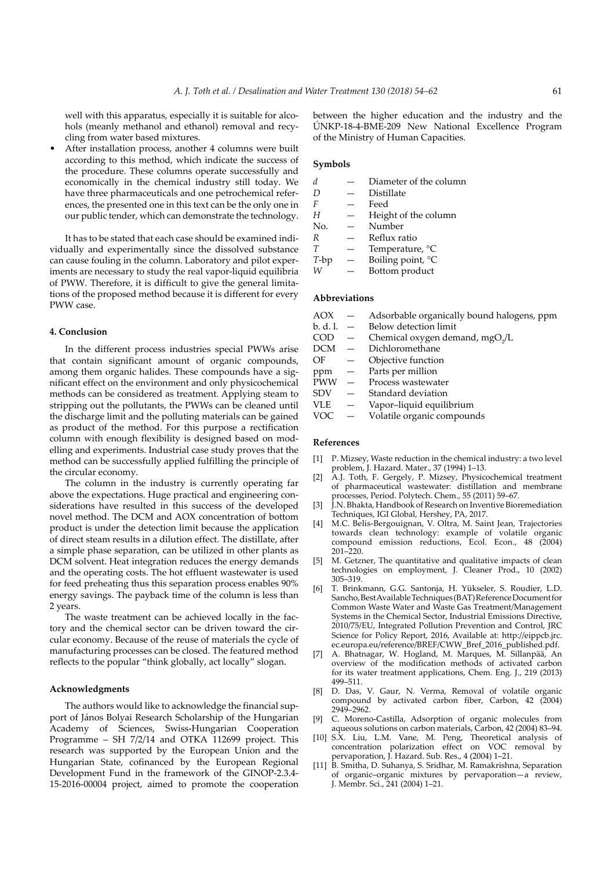well with this apparatus, especially it is suitable for alcohols (meanly methanol and ethanol) removal and recycling from water based mixtures.

After installation process, another 4 columns were built according to this method, which indicate the success of the procedure. These columns operate successfully and economically in the chemical industry still today. We have three pharmaceuticals and one petrochemical references, the presented one in this text can be the only one in our public tender, which can demonstrate the technology.

It has to be stated that each case should be examined individually and experimentally since the dissolved substance can cause fouling in the column. Laboratory and pilot experiments are necessary to study the real vapor-liquid equilibria of PWW. Therefore, it is difficult to give the general limitations of the proposed method because it is different for every PWW case.

#### **4. Conclusion**

In the different process industries special PWWs arise that contain significant amount of organic compounds, among them organic halides. These compounds have a significant effect on the environment and only physicochemical methods can be considered as treatment. Applying steam to stripping out the pollutants, the PWWs can be cleaned until the discharge limit and the polluting materials can be gained as product of the method. For this purpose a rectification column with enough flexibility is designed based on modelling and experiments. Industrial case study proves that the method can be successfully applied fulfilling the principle of the circular economy.

The column in the industry is currently operating far above the expectations. Huge practical and engineering considerations have resulted in this success of the developed novel method. The DCM and AOX concentration of bottom product is under the detection limit because the application of direct steam results in a dilution effect. The distillate, after a simple phase separation, can be utilized in other plants as DCM solvent. Heat integration reduces the energy demands and the operating costs. The hot effluent wastewater is used for feed preheating thus this separation process enables 90% energy savings. The payback time of the column is less than 2 years.

The waste treatment can be achieved locally in the factory and the chemical sector can be driven toward the circular economy. Because of the reuse of materials the cycle of manufacturing processes can be closed. The featured method reflects to the popular "think globally, act locally" slogan.

## **Acknowledgments**

The authors would like to acknowledge the financial support of János Bolyai Research Scholarship of the Hungarian Academy of Sciences, Swiss-Hungarian Cooperation Programme – SH 7/2/14 and OTKA 112699 project. This research was supported by the European Union and the Hungarian State, cofinanced by the European Regional Development Fund in the framework of the GINOP-2.3.4- 15-2016-00004 project, aimed to promote the cooperation between the higher education and the industry and the ÚNKP-18-4-BME-209 New National Excellence Program of the Ministry of Human Capacities.

# **Symbols**

|         | Diameter of the column |
|---------|------------------------|
| D       | Distillate             |
| F       | Feed                   |
| Н       | Height of the column   |
| No.     | Number                 |
| R       | Reflux ratio           |
| T       | Temperature, °C        |
| $T$ -bp | Boiling point, °C      |
|         | Bottom product         |
|         |                        |

# **Abbreviations**

| AOX        |          | Adsorbable organically bound halogens, ppm  |
|------------|----------|---------------------------------------------|
| b. d. l.   |          | Below detection limit                       |
| <b>COD</b> |          | Chemical oxygen demand, mgO <sub>2</sub> /L |
| DCM        |          | Dichloromethane                             |
| OF         |          | Objective function                          |
| ppm        |          | Parts per million                           |
| <b>PWW</b> | $\equiv$ | Process wastewater                          |
| <b>SDV</b> |          | Standard deviation                          |
| <b>VLE</b> |          | Vapor-liquid equilibrium                    |
| VOC        |          | Volatile organic compounds                  |
|            |          |                                             |

#### **References**

- [1] P. Mizsey, Waste reduction in the chemical industry: a two level problem, J. Hazard. Mater., 37 (1994) 1–13.
- [2] A.J. Toth, F. Gergely, P. Mizsey, Physicochemical treatment of pharmaceutical wastewater: distillation and membrane processes, Period. Polytech. Chem., 55 (2011) 59–67.
- [3] I.N. Bhakta, Handbook of Research on Inventive Bioremediation Techniques, IGI Global, Hershey, PA, 2017.
- [4] M.C. Belis-Bergouignan, V. Oltra, M. Saint Jean, Trajectories towards clean technology: example of volatile organic compound emission reductions, Ecol. Econ., 48 (2004) 201–220.
- [5] M. Getzner, The quantitative and qualitative impacts of clean technologies on employment, J. Cleaner Prod., 10 (2002) 305–319.
- [6] T. Brinkmann, G.G. Santonja, H. Yükseler, S. Roudier, L.D. Sancho, Best Available Techniques (BAT) Reference Document for Common Waste Water and Waste Gas Treatment/Management Systems in the Chemical Sector, Industrial Emissions Directive, 2010/75/EU, Integrated Pollution Prevention and Control, JRC Science for Policy Report, 2016, Available at: http://eippcb.jrc. ec.europa.eu/reference/BREF/CWW\_Bref\_2016\_published.pdf.
- [7] A. Bhatnagar, W. Hogland, M. Marques, M. Sillanpää, An overview of the modification methods of activated carbon for its water treatment applications, Chem. Eng. J., 219 (2013) 499–511.
- [8] D. Das, V. Gaur, N. Verma, Removal of volatile organic compound by activated carbon fiber, Carbon, 42 (2004) 2949–2962.
- [9] C. Moreno-Castilla, Adsorption of organic molecules from aqueous solutions on carbon materials, Carbon, 42 (2004) 83–94.
- [10] S.X. Liu, L.M. Vane, M. Peng, Theoretical analysis of concentration polarization effect on VOC removal by pervaporation, J. Hazard. Sub. Res., 4 (2004) 1–21.
- [11] B. Smitha, D. Suhanya, S. Sridhar, M. Ramakrishna, Separation of organic–organic mixtures by pervaporation—a review, J. Membr. Sci., 241 (2004) 1–21.